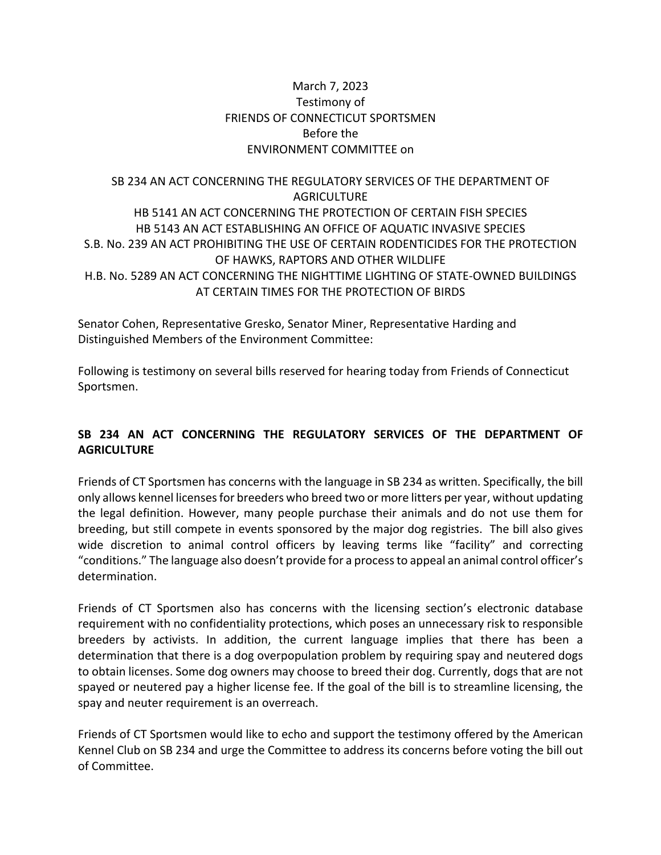### March 7, 2023 Testimony of FRIENDS OF CONNECTICUT SPORTSMEN Before the ENVIRONMENT COMMITTEE on

## SB 234 AN ACT CONCERNING THE REGULATORY SERVICES OF THE DEPARTMENT OF **AGRICULTURE** HB 5141 AN ACT CONCERNING THE PROTECTION OF CERTAIN FISH SPECIES HB 5143 AN ACT ESTABLISHING AN OFFICE OF AQUATIC INVASIVE SPECIES S.B. No. 239 AN ACT PROHIBITING THE USE OF CERTAIN RODENTICIDES FOR THE PROTECTION OF HAWKS, RAPTORS AND OTHER WILDLIFE H.B. No. 5289 AN ACT CONCERNING THE NIGHTTIME LIGHTING OF STATE-OWNED BUILDINGS AT CERTAIN TIMES FOR THE PROTECTION OF BIRDS

Senator Cohen, Representative Gresko, Senator Miner, Representative Harding and Distinguished Members of the Environment Committee:

Following is testimony on several bills reserved for hearing today from Friends of Connecticut Sportsmen.

# **SB 234 AN ACT CONCERNING THE REGULATORY SERVICES OF THE DEPARTMENT OF AGRICULTURE**

Friends of CT Sportsmen has concerns with the language in SB 234 as written. Specifically, the bill only allows kennel licenses for breeders who breed two or more litters per year, without updating the legal definition. However, many people purchase their animals and do not use them for breeding, but still compete in events sponsored by the major dog registries. The bill also gives wide discretion to animal control officers by leaving terms like "facility" and correcting "conditions." The language also doesn't provide for a process to appeal an animal control officer's determination.

Friends of CT Sportsmen also has concerns with the licensing section's electronic database requirement with no confidentiality protections, which poses an unnecessary risk to responsible breeders by activists. In addition, the current language implies that there has been a determination that there is a dog overpopulation problem by requiring spay and neutered dogs to obtain licenses. Some dog owners may choose to breed their dog. Currently, dogs that are not spayed or neutered pay a higher license fee. If the goal of the bill is to streamline licensing, the spay and neuter requirement is an overreach.

Friends of CT Sportsmen would like to echo and support the testimony offered by the American Kennel Club on SB 234 and urge the Committee to address its concerns before voting the bill out of Committee.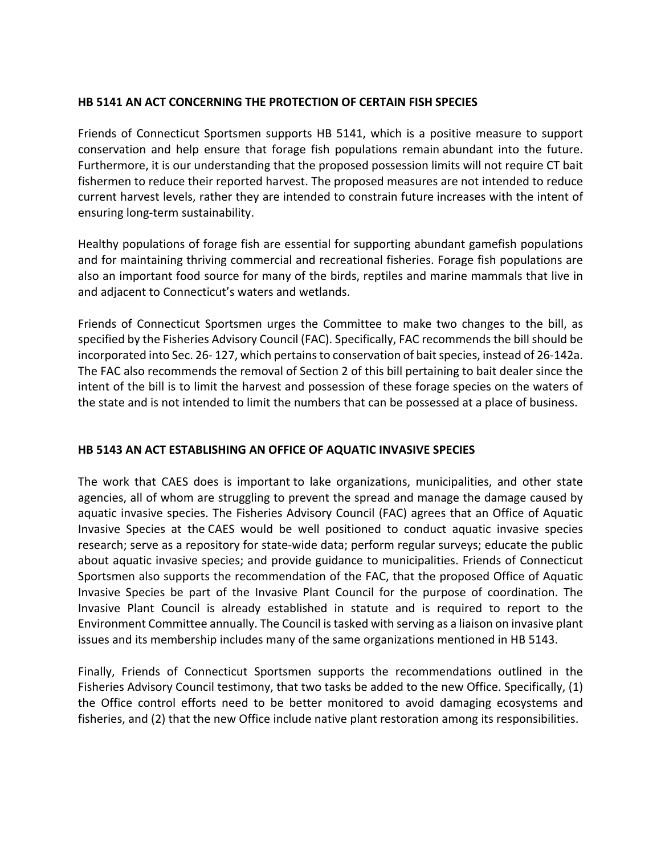#### **HB 5141 AN ACT CONCERNING THE PROTECTION OF CERTAIN FISH SPECIES**

Friends of Connecticut Sportsmen supports HB 5141, which is a positive measure to support conservation and help ensure that forage fish populations remain abundant into the future. Furthermore, it is our understanding that the proposed possession limits will not require CT bait fishermen to reduce their reported harvest. The proposed measures are not intended to reduce current harvest levels, rather they are intended to constrain future increases with the intent of ensuring long-term sustainability.

Healthy populations of forage fish are essential for supporting abundant gamefish populations and for maintaining thriving commercial and recreational fisheries. Forage fish populations are also an important food source for many of the birds, reptiles and marine mammals that live in and adjacent to Connecticut's waters and wetlands.

Friends of Connecticut Sportsmen urges the Committee to make two changes to the bill, as specified by the Fisheries Advisory Council (FAC). Specifically, FAC recommends the bill should be incorporated into Sec. 26- 127, which pertains to conservation of bait species, instead of 26-142a. The FAC also recommends the removal of Section 2 of this bill pertaining to bait dealer since the intent of the bill is to limit the harvest and possession of these forage species on the waters of the state and is not intended to limit the numbers that can be possessed at a place of business.

### **HB 5143 AN ACT ESTABLISHING AN OFFICE OF AQUATIC INVASIVE SPECIES**

The work that CAES does is important to lake organizations, municipalities, and other state agencies, all of whom are struggling to prevent the spread and manage the damage caused by aquatic invasive species. The Fisheries Advisory Council (FAC) agrees that an Office of Aquatic Invasive Species at the CAES would be well positioned to conduct aquatic invasive species research; serve as a repository for state-wide data; perform regular surveys; educate the public about aquatic invasive species; and provide guidance to municipalities. Friends of Connecticut Sportsmen also supports the recommendation of the FAC, that the proposed Office of Aquatic Invasive Species be part of the Invasive Plant Council for the purpose of coordination. The Invasive Plant Council is already established in statute and is required to report to the Environment Committee annually. The Council is tasked with serving as a liaison on invasive plant issues and its membership includes many of the same organizations mentioned in HB 5143.

Finally, Friends of Connecticut Sportsmen supports the recommendations outlined in the Fisheries Advisory Council testimony, that two tasks be added to the new Office. Specifically, (1) the Office control efforts need to be better monitored to avoid damaging ecosystems and fisheries, and (2) that the new Office include native plant restoration among its responsibilities.